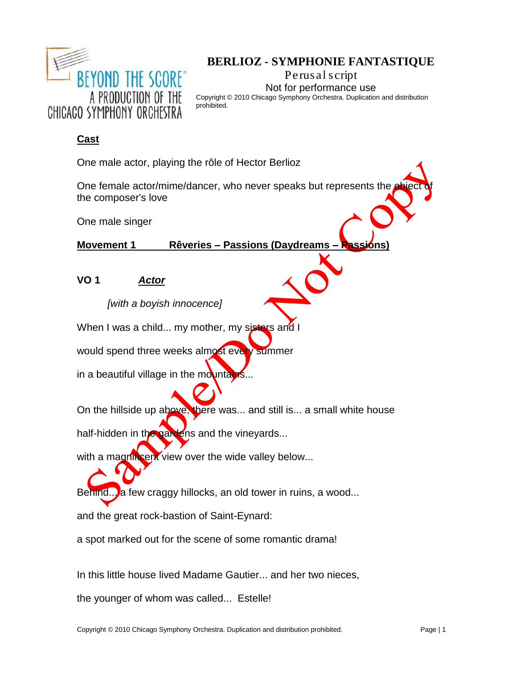| BEYOND THE SCORE®<br>A PRODUCTION OF THE<br>CHICACO SYMPHONY ORCHESTRA | <b>BERLIOZ - SYMPHONIE FANTASTIQUE</b><br>Perusal script<br>Not for performance use<br>Copyright © 2010 Chicago Symphony Orchestra. Duplication and distribution<br>prohibited. |
|------------------------------------------------------------------------|---------------------------------------------------------------------------------------------------------------------------------------------------------------------------------|
|------------------------------------------------------------------------|---------------------------------------------------------------------------------------------------------------------------------------------------------------------------------|

# **Cast**

One male actor, playing the rôle of Hector Berlioz

One female actor/mime/dancer, who never speaks but represents the object the composer's love

One male singer

**Movement 1 Rêveries – Passions (Daydreams – Passions)**

**VO 1** *Actor*

*[with a boyish innocence]*

When I was a child... my mother, my sisters and I

would spend three weeks almost every summer

in a beautiful village in the mountains...

On the hillside up above, there was... and still is... a small white house

half-hidden in the gardens and the vineyards...

with a magnificent view over the wide valley below...

Behind... a few craggy hillocks, an old tower in ruins, a wood...

and the great rock-bastion of Saint-Eynard:

a spot marked out for the scene of some romantic drama!

In this little house lived Madame Gautier... and her two nieces,

the younger of whom was called... Estelle!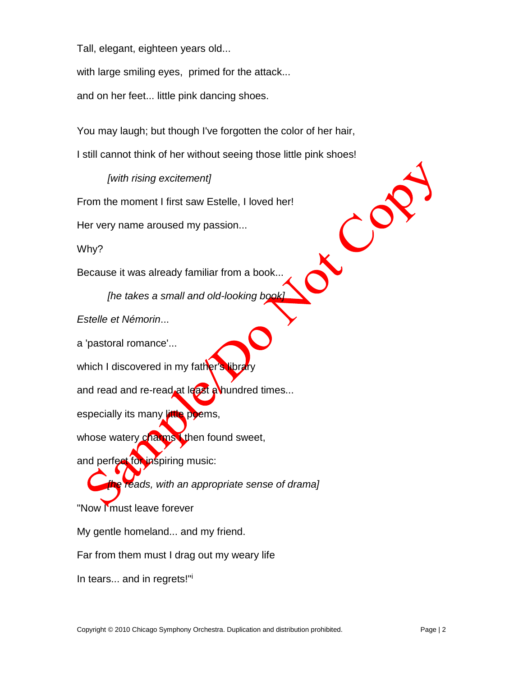Tall, elegant, eighteen years old...

with large smiling eyes, primed for the attack...

and on her feet... little pink dancing shoes.

You may laugh; but though I've forgotten the color of her hair, I still cannot think of her without seeing those little pink shoes!

# *[with rising excitement]*

From the moment I first saw Estelle, I loved her!

Her very name aroused my passion...

Why?

Because it was already familiar from a book...

*[he takes a small and old-looking book]*

*Estelle et Némorin*...

a 'pastoral romance'...

which I discovered in my father's library

and read and re-read at least a hundred times...

especially its many little poems,

whose watery charms then found sweet,

and perfect for inspiring music:

*[he reads, with an appropriate sense of drama]*

"Now I'must leave forever

My gentle homeland... and my friend.

Far from them must I drag out my weary life

In tears... and in regrets!"i

X COP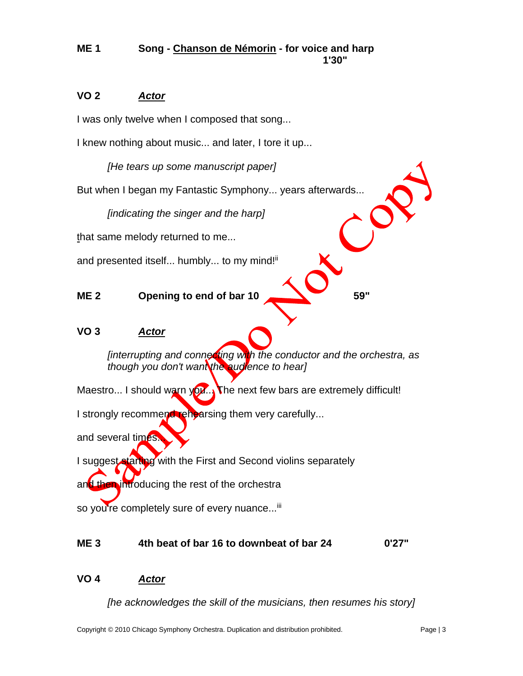#### **ME 1 Song - Chanson de Némorin - for voice and harp 1'30"**

## **VO 2** *Actor*

I was only twelve when I composed that song...

I knew nothing about music... and later, I tore it up...

*[He tears up some manuscript paper]*

But when I began my Fantastic Symphony... years afterwards...

*[indicating the singer and the harp]*

that same melody returned to me...

and presented itself... humbly... to my mind!<sup>ii</sup>

## **ME 2 Opening to end of bar 10 59"**

#### **VO 3** *Actor*

*[interrupting and connecting with the conductor and the orchestra, as though you don't want the audience to hear]*

Maestro... I should warn you... The next few bars are extremely difficult!

I strongly recommend rehearsing them very carefully...

and several times.

I suggest starting with the First and Second violins separately

and then introducing the rest of the orchestra

so you're completely sure of every nuance...<sup>iii</sup>

#### **ME 3 4th beat of bar 16 to downbeat of bar 24 0'27"**

### **VO 4** *Actor*

*[he acknowledges the skill of the musicians, then resumes his story]*

C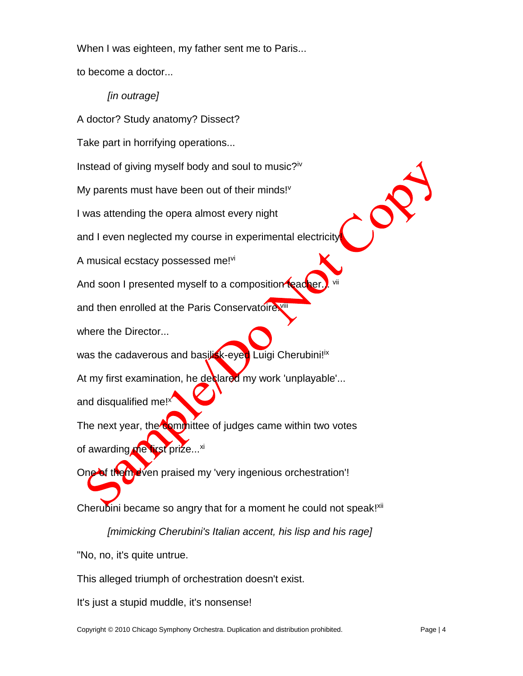When I was eighteen, my father sent me to Paris...

to become a doctor...

*[in outrage]*

A doctor? Study anatomy? Dissect?

Take part in horrifying operations...

Instead of giving myself body and soul to music? $iv$ 

My parents must have been out of their minds!<sup>v</sup>

I was attending the opera almost every night

and I even neglected my course in experimental electricity

A musical ecstacy possessed me!vi

And soon I presented myself to a composition tead

and then enrolled at the Paris Conservatoire

where the Director...

was the cadaverous and basilisk-eyed Luigi Cherubini!ix

At my first examination, he declared my work 'unplayable'...

and disqualified me!<sup>x</sup>

The next year, the committee of judges came within two votes of awarding me first prize...<sup>xi</sup>

One of them even praised my 'very ingenious orchestration'!

Cherubini became so angry that for a moment he could not speak!<sup>xii</sup>

*[mimicking Cherubini's Italian accent, his lisp and his rage]*

"No, no, it's quite untrue.

This alleged triumph of orchestration doesn't exist.

It's just a stupid muddle, it's nonsense!

OS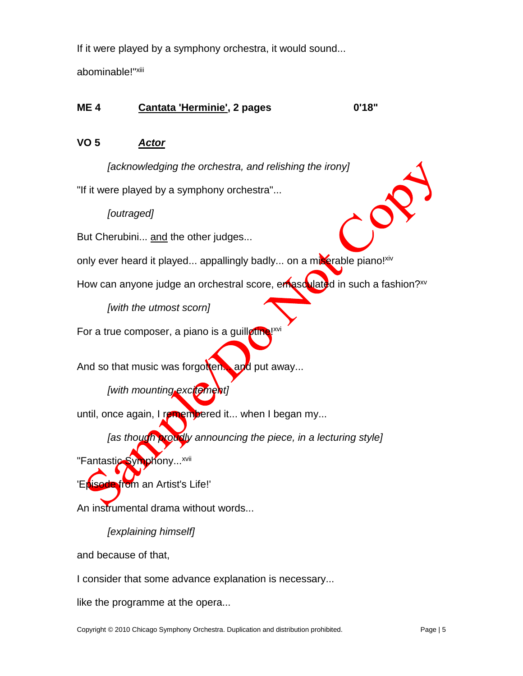If it were played by a symphony orchestra, it would sound...

abominable!"<sup>xiii</sup>

# **ME 4 Cantata 'Herminie', 2 pages 0'18"**

## **VO 5** *Actor*

*[acknowledging the orchestra, and relishing the irony]*

"If it were played by a symphony orchestra"...

*[outraged]*

But Cherubini... and the other judges...

only ever heard it played... appallingly badly... on a miserable piano!<sup>xiv</sup>

How can anyone judge an orchestral score, emasculated in such a fashion?<sup>xv</sup>

*[with the utmost scorn]*

For a true composer, a piano is a guillotine! $x^y$ 

And so that music was forgotten... and put away...

*[with mounting excitement]*

until, once again, I remembered it... when I began my...

*[as though proudly announcing the piece, in a lecturing style]*

"Fantastic Symphony...<sup>xvii</sup>

'Episode from an Artist's Life!'

An instrumental drama without words...

*[explaining himself]*

and because of that,

I consider that some advance explanation is necessary...

like the programme at the opera...

P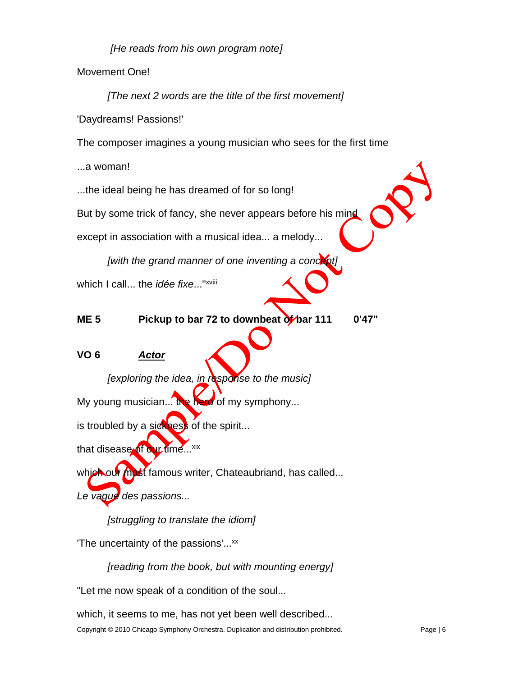*[He reads from his own program note]*

Movement One!

*[The next 2 words are the title of the first movement]* 'Daydreams! Passions!' The composer imagines a young musician who sees for the first time

...a woman!

...the ideal being he has dreamed of for so long!

But by some trick of fancy, she never appears before his mind

except in association with a musical idea... a melody...

*[with the grand manner of one inventing a concept]*

which I call... the *idée fixe*..." xviii

**ME 5 Pickup to bar 72 to downbeat of bar 111 0'47"**

# **VO 6** *Actor*

*[exploring the idea, in response to the music]* My young musician... the hero of my symphony...

is troubled by a sickness of the spirit...

that disease of our time...<sup>xix</sup>

which our most famous writer, Chateaubriand, has called...

*Le vague des passions...*

*[struggling to translate the idiom]*

The uncertainty of the passions'... $^{xx}$ 

*[reading from the book, but with mounting energy]*

"Let me now speak of a condition of the soul...

which, it seems to me, has not yet been well described...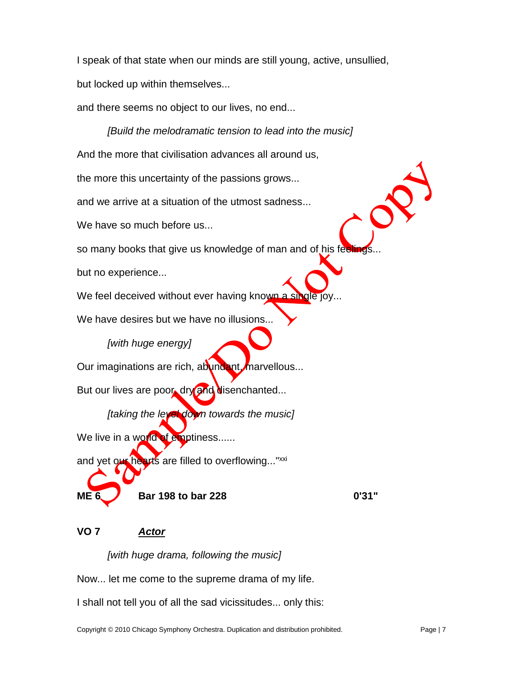I speak of that state when our minds are still young, active, unsullied, but locked up within themselves...

and there seems no object to our lives, no end...

*[Build the melodramatic tension to lead into the music]* And the more that civilisation advances all around us, the more this uncertainty of the passions grows... and we arrive at a situation of the utmost sadness... We have so much before us... so many books that give us knowledge of man and of his feeling but no experience... We feel deceived without ever having known a si We have desires but we have no illusions... *[with huge energy]* Our imaginations are rich, abundant, marvellous... But our lives are poor, dry and disenchanted... *[taking the level down towards the music]* We live in a world of emptiness...... and yet our hearts are filled to overflowing..."<sup>xxi</sup> **ME 6 Bar 198 to bar 228 0'31"**

# **VO 7** *Actor*

*[with huge drama, following the music]*

Now... let me come to the supreme drama of my life.

I shall not tell you of all the sad vicissitudes... only this: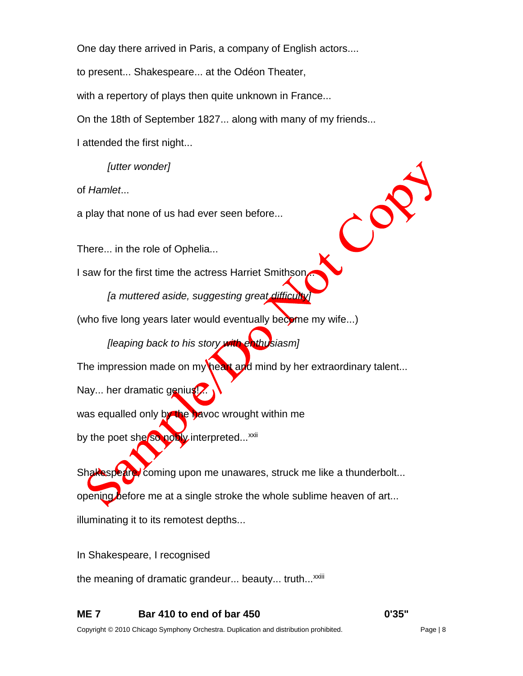One day there arrived in Paris, a company of English actors....

to present... Shakespeare... at the Odéon Theater,

with a repertory of plays then quite unknown in France...

On the 18th of September 1827... along with many of my friends...

I attended the first night...

*[utter wonder]*

of *Hamlet*...

a play that none of us had ever seen before...

There... in the role of Ophelia...

I saw for the first time the actress Harriet Smithsor

*[a muttered aside, suggesting great difficulty]* 

(who five long years later would eventually become my wife...)

*[leaping back to his story with enthusiasm]*

The impression made on my heart and mind by her extraordinary talent...

Nay... her dramatic genius!

was equalled only by the havoc wrought within me

by the poet she so nobly interpreted...<sup>xxii</sup>

Shakespeare, coming upon me unawares, struck me like a thunderbolt... opening before me at a single stroke the whole sublime heaven of art... illuminating it to its remotest depths...

In Shakespeare, I recognised

the meaning of dramatic grandeur... beauty... truth...<sup>xxiii</sup>

**ME 7 Bar 410 to end of bar 450 0'35"**

COP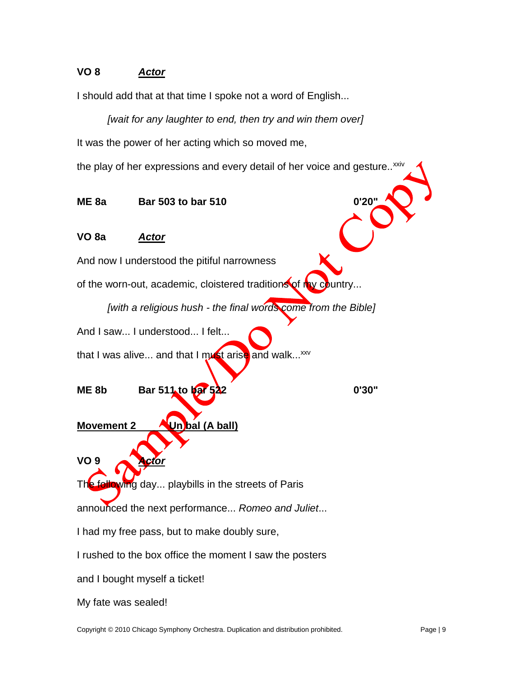# **VO 8** *Actor*

I should add that at that time I spoke not a word of English...

*[wait for any laughter to end, then try and win them over]* It was the power of her acting which so moved me,

the play of her expressions and every detail of her voice and gesture..<sup>xxiv</sup>

**ME 8a Bar 503 to bar 510 0'20"**

### **VO 8a** *Actor*

And now I understood the pitiful narrowness

of the worn-out, academic, cloistered traditions of n

*[with a religious hush - the final words come from the Bible]*

And I saw... I understood... I felt...

that I was alive... and that I must arise and walk... $xxy$ 

**ME 8b Bar 511 to bar 522 0'30"**

**Movement 2 Un bal (A ball)**

**VO 9** *Actor*

The following day... playbills in the streets of Paris

announced the next performance... *Romeo and Juliet*...

I had my free pass, but to make doubly sure,

I rushed to the box office the moment I saw the posters

and I bought myself a ticket!

My fate was sealed!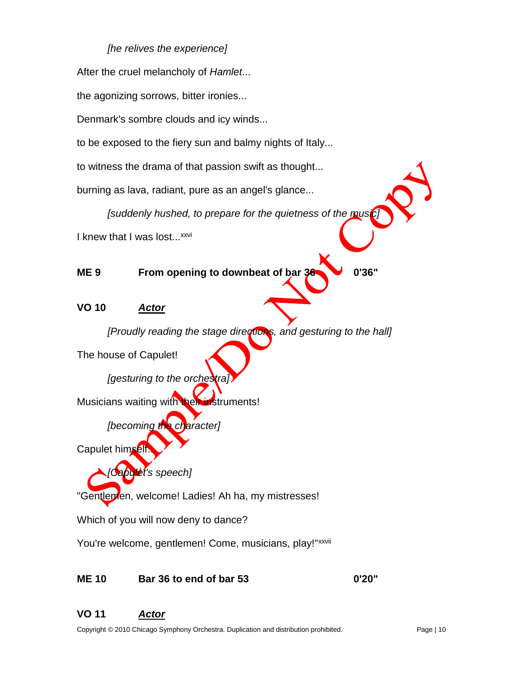## *[he relives the experience]*

After the cruel melancholy of *Hamlet*... the agonizing sorrows, bitter ironies... Denmark's sombre clouds and icy winds... to be exposed to the fiery sun and balmy nights of Italy... to witness the drama of that passion swift as thought... burning as lava, radiant, pure as an angel's glance... *[suddenly hushed, to prepare for the quietness of the music]* I knew that I was lost...<sup>xxvi</sup> **ME 9 From opening to downbeat of bar 36 0'36" VO 10** *Actor [Proudly reading the stage directions, and gesturing to the hall]* The house of Capulet! *[gesturing to the orches* Musicians waiting with their instruments! *[becoming the character]* Capulet himself *[Capulet's speech]* "Gentlemen, welcome! Ladies! Ah ha, my mistresses! Which of you will now deny to dance? You're welcome, gentlemen! Come, musicians, play!"xxvii

**ME 10 Bar 36 to end of bar 53 0'20"**

# **VO 11** *Actor*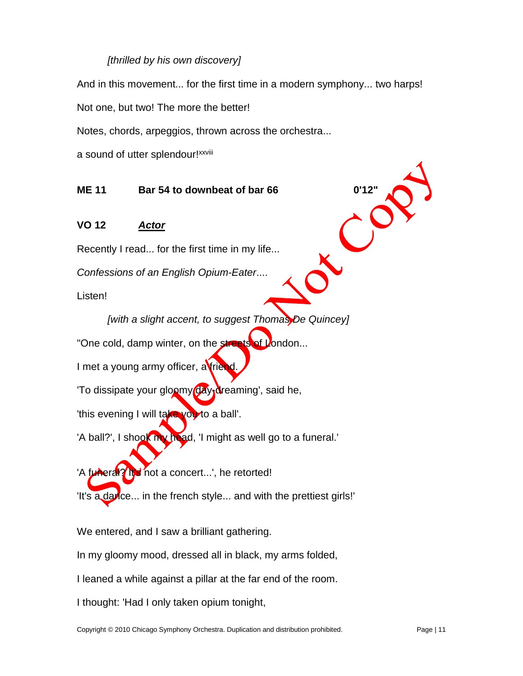#### *[thrilled by his own discovery]*

And in this movement... for the first time in a modern symphony... two harps!

Not one, but two! The more the better!

Notes, chords, arpeggios, thrown across the orchestra...

a sound of utter splendour!<sup>xxviii</sup>

# **ME 11 Bar 54 to downbeat of bar 66**

**VO 12** *Actor*

Recently I read... for the first time in my life...

*Confessions of an English Opium-Eater*....

Listen!

*[with a slight accent, to suggest Thomas De Quincey]* "One cold, damp winter, on the streets of London... I met a young army officer, a friend 'To dissipate your gloomy day<sub>1</sub> reaming', said he, 'this evening I will take you to a ball'. 'A ball?', I shook my head, 'I might as well go to a funeral.'

'A funeral? It's not a concert...', he retorted! It's a darice... in the french style... and with the prettiest girls!'

We entered, and I saw a brilliant gathering.

In my gloomy mood, dressed all in black, my arms folded,

I leaned a while against a pillar at the far end of the room.

I thought: 'Had I only taken opium tonight,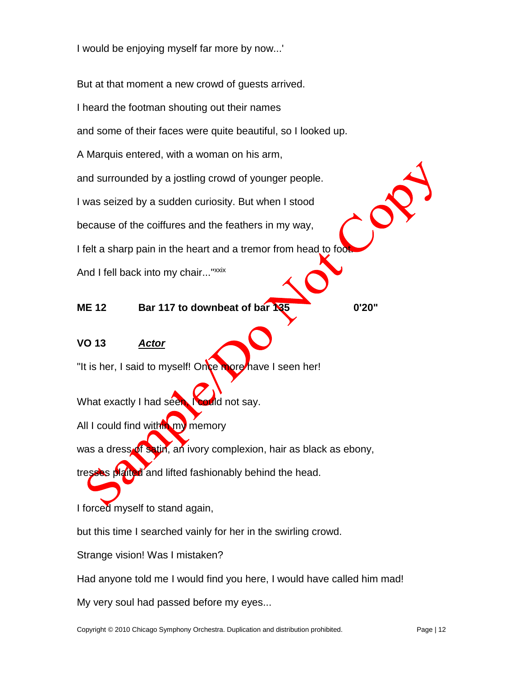I would be enjoying myself far more by now...'

But at that moment a new crowd of guests arrived. I heard the footman shouting out their names and some of their faces were quite beautiful, so I looked up. A Marquis entered, with a woman on his arm, and surrounded by a jostling crowd of younger people. I was seized by a sudden curiosity. But when I stood because of the coiffures and the feathers in my way, I felt a sharp pain in the heart and a tremor from head to foo And I fell back into my chair..."xxix **ME 12 Bar 117 to downbeat of bar 135 0'20"**

#### **VO 13** *Actor*

"It is her, I said to myself! Once more have I seen her!

What exactly I had seen, **Fould not say.** 

All I could find within my memory

was a dress of satin, an ivory complexion, hair as black as ebony,

tresses plaited and lifted fashionably behind the head.

I forced myself to stand again,

but this time I searched vainly for her in the swirling crowd.

Strange vision! Was I mistaken?

Had anyone told me I would find you here, I would have called him mad!

My very soul had passed before my eyes...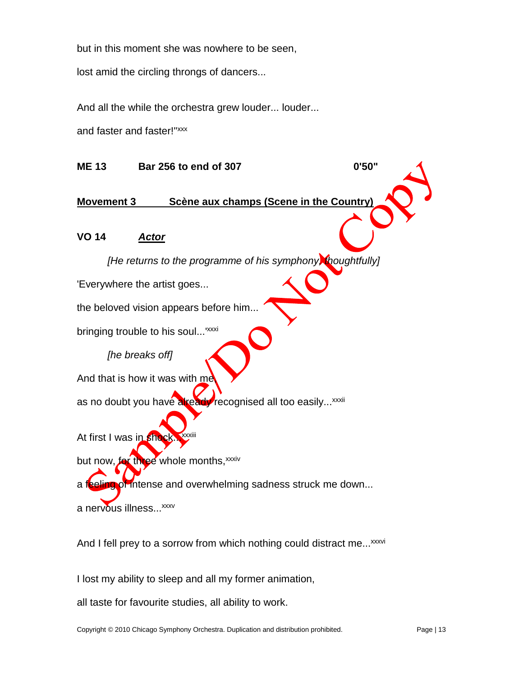but in this moment she was nowhere to be seen,

lost amid the circling throngs of dancers...

And all the while the orchestra grew louder... louder...

and faster and faster!"<sup>xxx</sup>

**ME 13 Bar 256 to end of 307 0'50" Movement 3 Scène aux champs (Scene in the Country) VO 14** *Actor [He returns to the programme of his symphony, thoughtfully]* 'Everywhere the artist goes... the beloved vision appears before him... bringing trouble to his soul...<sup>'xxxi</sup> *[he breaks off]* And that is how it was with me as no doubt you have already recognised all too easily...<sup>xxxii</sup> At first I was in sho but now, for three whole months, xxxiv a feeling of intense and overwhelming sadness struck me down... a nervous illness...<sup>xxxv</sup> And I fell prey to a sorrow from which nothing could distract me...<sup>xxxvi</sup>

I lost my ability to sleep and all my former animation,

all taste for favourite studies, all ability to work.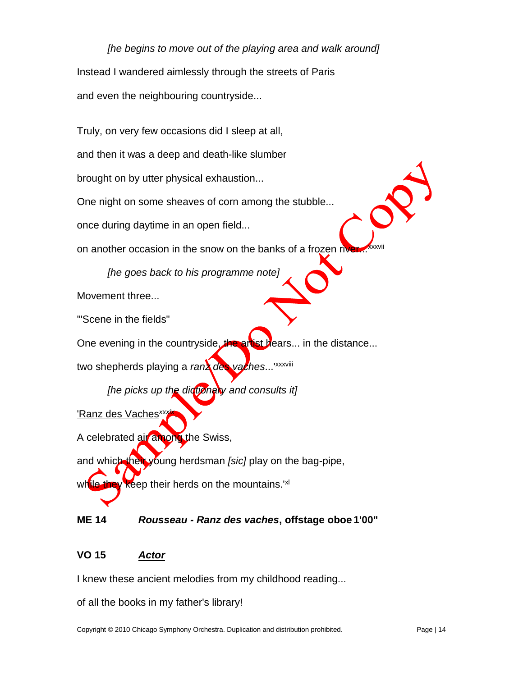*[he begins to move out of the playing area and walk around]* Instead I wandered aimlessly through the streets of Paris and even the neighbouring countryside...

Truly, on very few occasions did I sleep at all, and then it was a deep and death-like slumber brought on by utter physical exhaustion... One night on some sheaves of corn among the stubble... once during daytime in an open field... on another occasion in the snow on the banks of a frozen rive *[he goes back to his programme note]* Movement three... '"Scene in the fields" One evening in the countryside, the artist hears... in the distance... two shepherds playing a *ranz des vaches*...'xxxviii *[he picks up the dictionary and consults it]* 'Ranz des Vaches<sup>xxx</sup> .

A celebrated air among the Swiss, and which their young herdsman *[sic]* play on the bag-pipe, while they keep their herds on the mountains.<sup>'xl</sup>

### **ME 14** *Rousseau - Ranz des vaches***, offstage oboe 1'00"**

### **VO 15** *Actor*

I knew these ancient melodies from my childhood reading...

of all the books in my father's library!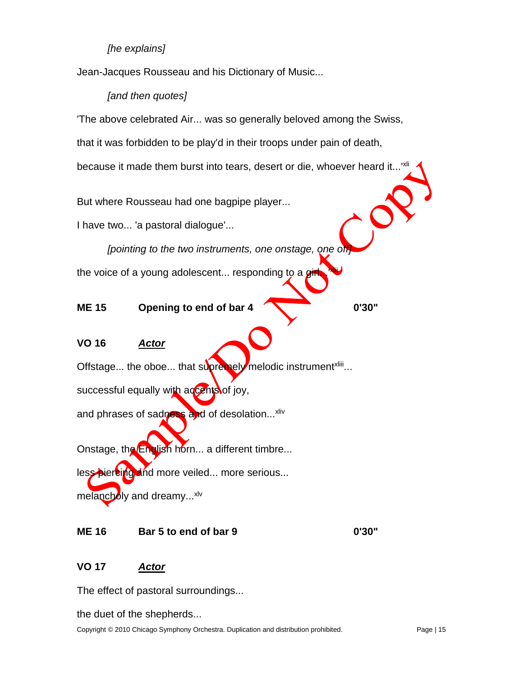### *[he explains]*

Jean-Jacques Rousseau and his Dictionary of Music...

#### *[and then quotes]*

'The above celebrated Air... was so generally beloved among the Swiss,

that it was forbidden to be play'd in their troops under pain of death,

because it made them burst into tears, desert or die, whoever heard it...<sup>'xl</sup>

But where Rousseau had one bagpipe player...

I have two... 'a pastoral dialogue'...

[pointing to the two instruments, one onstage, one of

the voice of a young adolescent... responding to a  $g$ xlii

**ME 15 Opening to end of bar 4 0'30"**

# **VO 16** *Actor*

Offstage... the oboe... that supremely melodic instrument<sup>xliii</sup>... successful equally with accents of joy,

and phrases of sadness and of desolation...<sup>xliv</sup>

Onstage, the English horn... a different timbre... less piercing and more veiled... more serious... melancholy and dreamy...<sup>xlv</sup>

#### **ME 16 Bar 5 to end of bar 9 0'30"**

### **VO 17** *Actor*

The effect of pastoral surroundings...

the duet of the shepherds...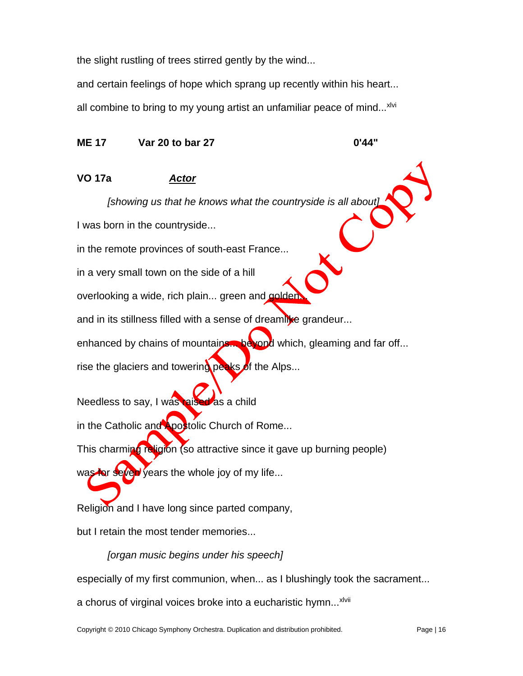the slight rustling of trees stirred gently by the wind...

and certain feelings of hope which sprang up recently within his heart...

all combine to bring to my young artist an unfamiliar peace of mind...<sup>xlvi</sup>

**ME 17 Var 20 to bar 27 0'44"**

# **VO 17a** *Actor*

*[showing us that he knows what the countryside is all about]*

I was born in the countryside...

in the remote provinces of south-east France...

in a very small town on the side of a hill

overlooking a wide, rich plain... green and golder

and in its stillness filled with a sense of dreamlike grandeur...

enhanced by chains of mountains... beyond which, gleaming and far off...

rise the glaciers and towering peaks of the Alps...

Needless to say, I was raised as a child

in the Catholic and Apostolic Church of Rome...

This charming religion (so attractive since it gave up burning people)

was for seven years the whole joy of my life...

Religion and I have long since parted company,

but I retain the most tender memories...

*[organ music begins under his speech]*

especially of my first communion, when... as I blushingly took the sacrament...

a chorus of virginal voices broke into a eucharistic hymn...<sup>xlvii</sup>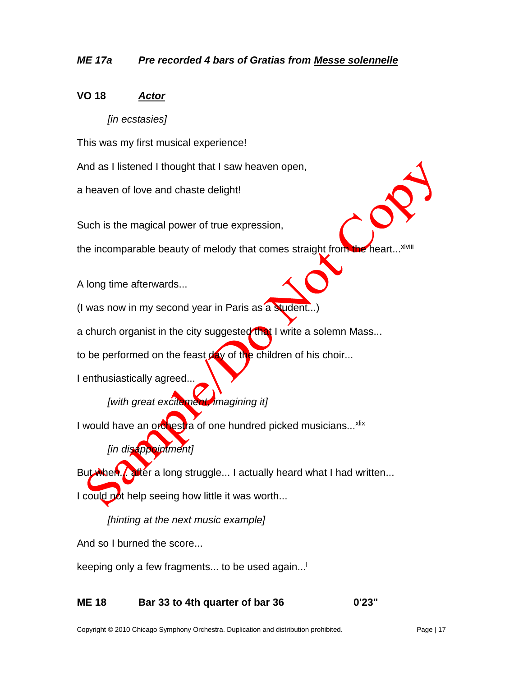## *ME 17a Pre recorded 4 bars of Gratias from Messe solennelle*

### **VO 18** *Actor*

#### *[in ecstasies]*

This was my first musical experience!

And as I listened I thought that I saw heaven open,

a heaven of love and chaste delight!

Such is the magical power of true expression,

the incomparable beauty of melody that comes straight from xlviii

A long time afterwards...

(I was now in my second year in Paris as a student...

a church organist in the city suggested that I write a solemn Mass...

to be performed on the feast  $d$  of the children of his choir...

I enthusiastically agreed...

# *[with great excitement, imagining it]*

I would have an orchestra of one hundred picked musicians...<sup>xlix</sup>

*[in disappointment]*

But when... after a long struggle... I actually heard what I had written...

I could not help seeing how little it was worth...

*[hinting at the next music example]*

And so I burned the score...

keeping only a few fragments... to be used again... l

#### **ME 18 Bar 33 to 4th quarter of bar 36 0'23"**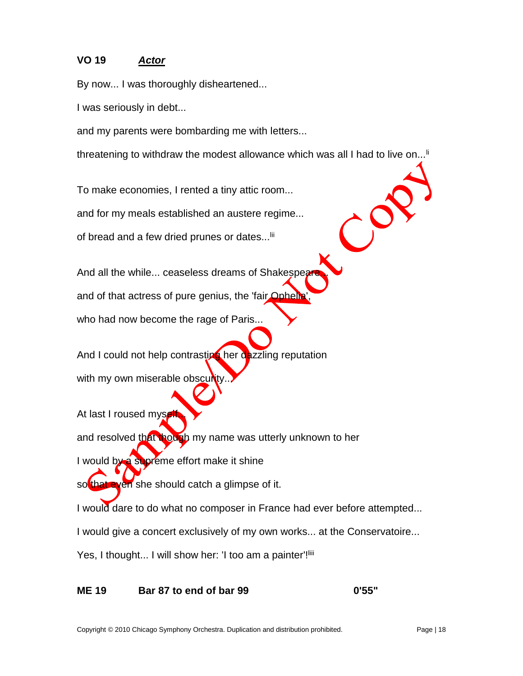## **VO 19** *Actor*

By now... I was thoroughly disheartened...

I was seriously in debt...

and my parents were bombarding me with letters...

threatening to withdraw the modest allowance which was all I had to live on...<sup>If</sup>

 $\mathcal{C}^{\mathbf{C}}$ 

To make economies, I rented a tiny attic room...

and for my meals established an austere regime...

of bread and a few dried prunes or dates...<sup>Iii</sup>

And all the while... ceaseless dreams of Shakespe

and of that actress of pure genius, the 'fair Ophell

who had now become the rage of Paris...

And I could not help contrasting her dazzling reputation with my own miserable obscurity

At last I roused mysel

and resolved that though my name was utterly unknown to her

I would by a supreme effort make it shine

so that even she should catch a glimpse of it.

I would dare to do what no composer in France had ever before attempted...

I would give a concert exclusively of my own works... at the Conservatoire...

Yes, I thought... I will show her: 'I too am a painter'!<sup>liii</sup>

**ME 19 Bar 87 to end of bar 99 0'55"**